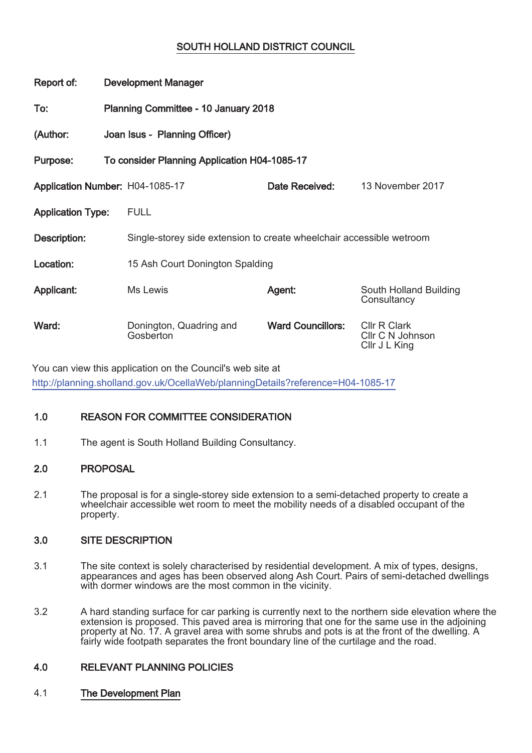# SOUTH HOLLAND DISTRICT COUNCIL

| Report of:                      | <b>Development Manager</b>                   |                                                                      |                          |                                                          |  |
|---------------------------------|----------------------------------------------|----------------------------------------------------------------------|--------------------------|----------------------------------------------------------|--|
| To:                             | Planning Committee - 10 January 2018         |                                                                      |                          |                                                          |  |
| (Author:                        | Joan Isus - Planning Officer)                |                                                                      |                          |                                                          |  |
| Purpose:                        | To consider Planning Application H04-1085-17 |                                                                      |                          |                                                          |  |
| Application Number: H04-1085-17 |                                              |                                                                      | Date Received:           | 13 November 2017                                         |  |
| <b>Application Type:</b>        |                                              | <b>FULL</b>                                                          |                          |                                                          |  |
| Description:                    |                                              | Single-storey side extension to create wheelchair accessible wetroom |                          |                                                          |  |
| Location:                       |                                              | 15 Ash Court Donington Spalding                                      |                          |                                                          |  |
| Applicant:                      |                                              | Ms Lewis                                                             | Agent:                   | South Holland Building<br>Consultancy                    |  |
| Ward:                           |                                              | Donington, Quadring and<br>Gosberton                                 | <b>Ward Councillors:</b> | <b>CIIr R Clark</b><br>CIIr C N Johnson<br>Cllr J L King |  |

You can view this application on the Council's web site at http://planning.sholland.gov.uk/OcellaWeb/planningDetails?reference=H04-1085-17

# 1.0 REASON FOR COMMITTEE CONSIDERATION

1.1 The agent is South Holland Building Consultancy.

# 2.0 PROPOSAL

2.1 The proposal is for a single-storey side extension to a semi-detached property to create a wheelchair accessible wet room to meet the mobility needs of a disabled occupant of the property.

## 3.0 SITE DESCRIPTION

- 3.1 The site context is solely characterised by residential development. A mix of types, designs, appearances and ages has been observed along Ash Court. Pairs of semi-detached dwellings with dormer windows are the most common in the vicinity.
- 3.2 A hard standing surface for car parking is currently next to the northern side elevation where the extension is proposed. This paved area is mirroring that one for the same use in the adjoining property at No. 17. A gravel area with some shrubs and pots is at the front of the dwelling. A fairly wide footpath separates the front boundary line of the curtilage and the road.

# 4.0 RELEVANT PLANNING POLICIES

## 4.1 The Development Plan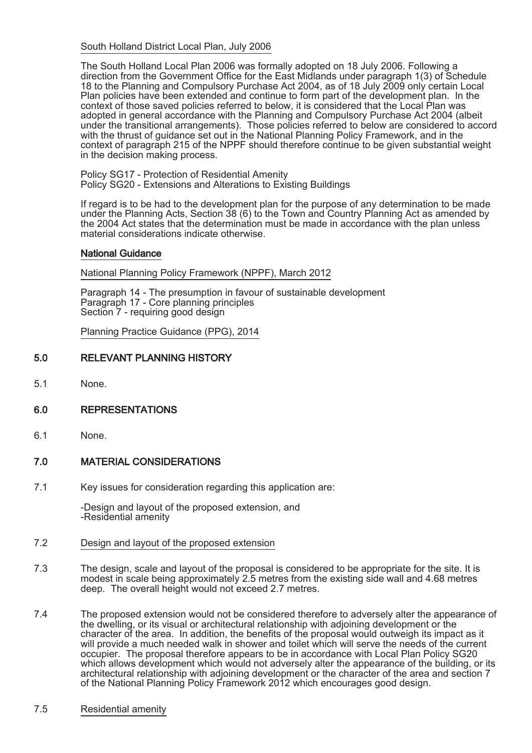South Holland District Local Plan, July 2006

The South Holland Local Plan 2006 was formally adopted on 18 July 2006. Following a direction from the Government Office for the East Midlands under paragraph 1(3) of Schedule 18 to the Planning and Compulsory Purchase Act 2004, as of 18 July 2009 only certain Local Plan policies have been extended and continue to form part of the development plan. In the context of those saved policies referred to below, it is considered that the Local Plan was adopted in general accordance with the Planning and Compulsory Purchase Act 2004 (albeit under the transitional arrangements). Those policies referred to below are considered to accord with the thrust of guidance set out in the National Planning Policy Framework, and in the context of paragraph 215 of the NPPF should therefore continue to be given substantial weight in the decision making process.

Policy SG17 - Protection of Residential Amenity Policy SG20 - Extensions and Alterations to Existing Buildings

If regard is to be had to the development plan for the purpose of any determination to be made under the Planning Acts, Section 38 (6) to the Town and Country Planning Act as amended by the 2004 Act states that the determination must be made in accordance with the plan unless material considerations indicate otherwise.

#### National Guidance

National Planning Policy Framework (NPPF), March 2012

Paragraph 14 - The presumption in favour of sustainable development Paragraph 17 - Core planning principles Section 7 - requiring good design

Planning Practice Guidance (PPG), 2014

## 5.0 RELEVANT PLANNING HISTORY

5.1 None.

## 6.0 REPRESENTATIONS

6.1 None.

## 7.0 MATERIAL CONSIDERATIONS

7.1 Key issues for consideration regarding this application are:

-Design and layout of the proposed extension, and -Residential amenity

- 7.2 Design and layout of the proposed extension
- 7.3 The design, scale and layout of the proposal is considered to be appropriate for the site. It is modest in scale being approximately 2.5 metres from the existing side wall and 4.68 metres deep. The overall height would not exceed 2.7 metres.
- 7.4 The proposed extension would not be considered therefore to adversely alter the appearance of the dwelling, or its visual or architectural relationship with adjoining development or the character of the area. In addition, the benefits of the proposal would outweigh its impact as it will provide a much needed walk in shower and toilet which will serve the needs of the current occupier. The proposal therefore appears to be in accordance with Local Plan Policy SG20 which allows development which would not adversely alter the appearance of the building, or its architectural relationship with adjoining development or the character of the area and section 7 of the National Planning Policy Framework 2012 which encourages good design.

#### 7.5 Residential amenity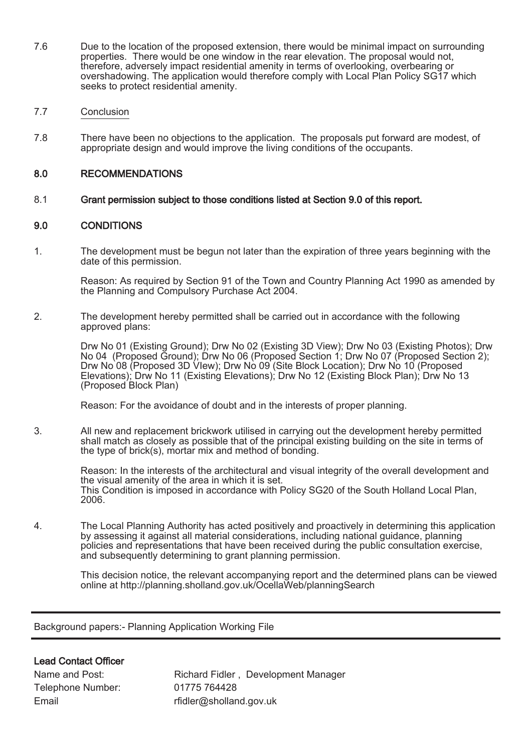- 7.6 Due to the location of the proposed extension, there would be minimal impact on surrounding properties. There would be one window in the rear elevation. The proposal would not, therefore, adversely impact residential amenity in terms of overlooking, overbearing or overshadowing. The application would therefore comply with Local Plan Policy SG17 which seeks to protect residential amenity.
- 7.7 Conclusion
- 7.8 There have been no objections to the application. The proposals put forward are modest, of appropriate design and would improve the living conditions of the occupants.

## 8.0 RECOMMENDATIONS

8.1 Grant permission subject to those conditions listed at Section 9.0 of this report.

## 9.0 CONDITIONS

1. The development must be begun not later than the expiration of three years beginning with the date of this permission.

Reason: As required by Section 91 of the Town and Country Planning Act 1990 as amended by the Planning and Compulsory Purchase Act 2004.

2. The development hereby permitted shall be carried out in accordance with the following approved plans:

> Drw No 01 (Existing Ground); Drw No 02 (Existing 3D View); Drw No 03 (Existing Photos); Drw No 04 (Proposed Ground); Drw No 06 (Proposed Section 1; Drw No 07 (Proposed Section 2); Drw No 08 (Proposed 3D VIew); Drw No 09 (Site Block Location); Drw No 10 (Proposed Elevations); Drw No 11 (Existing Elevations); Drw No 12 (Existing Block Plan); Drw No 13 (Proposed Block Plan)

Reason: For the avoidance of doubt and in the interests of proper planning.

3. All new and replacement brickwork utilised in carrying out the development hereby permitted shall match as closely as possible that of the principal existing building on the site in terms of the type of brick(s), mortar mix and method of bonding.

> Reason: In the interests of the architectural and visual integrity of the overall development and the visual amenity of the area in which it is set. This Condition is imposed in accordance with Policy SG20 of the South Holland Local Plan, 2006.

4. The Local Planning Authority has acted positively and proactively in determining this application by assessing it against all material considerations, including national guidance, planning policies and representations that have been received during the public consultation exercise, and subsequently determining to grant planning permission.

> This decision notice, the relevant accompanying report and the determined plans can be viewed online at http://planning.sholland.gov.uk/OcellaWeb/planningSearch

Background papers:- Planning Application Working File

## Lead Contact Officer

Telephone Number: 01775 764428

Name and Post: Richard Fidler , Development Manager Email Final rfidler@sholland.gov.uk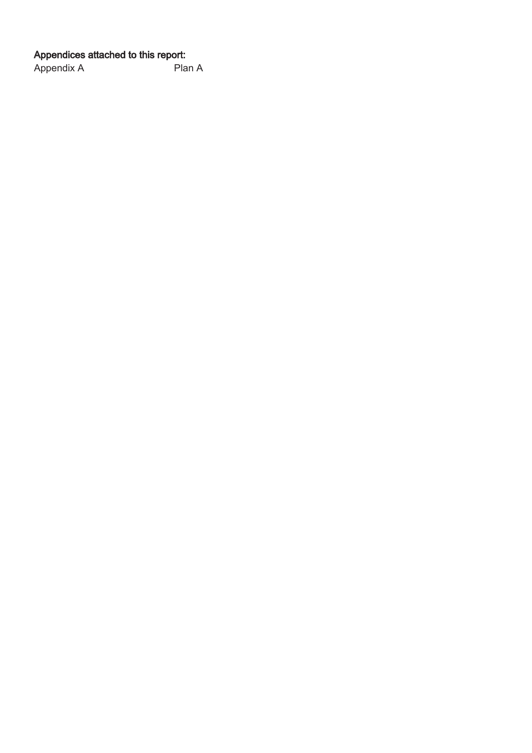Appendices attached to this report:<br>Appendix A Plan A Appendix A